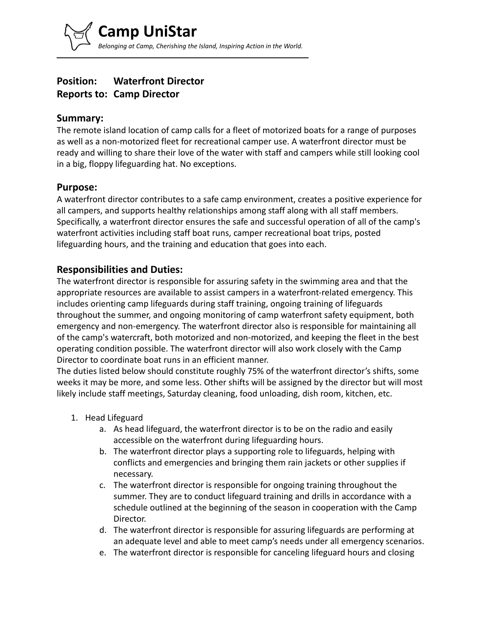# **Position: Waterfront Director Reports to: Camp Director**

### **Summary:**

The remote island location of camp calls for a fleet of motorized boats for a range of purposes as well as a non-motorized fleet for recreational camper use. A waterfront director must be ready and willing to share their love of the water with staff and campers while still looking cool in a big, floppy lifeguarding hat. No exceptions.

#### **Purpose:**

A waterfront director contributes to a safe camp environment, creates a positive experience for all campers, and supports healthy relationships among staff along with all staff members. Specifically, a waterfront director ensures the safe and successful operation of all of the camp's waterfront activities including staff boat runs, camper recreational boat trips, posted lifeguarding hours, and the training and education that goes into each.

### **Responsibilities and Duties:**

The waterfront director is responsible for assuring safety in the swimming area and that the appropriate resources are available to assist campers in a waterfront-related emergency. This includes orienting camp lifeguards during staff training, ongoing training of lifeguards throughout the summer, and ongoing monitoring of camp waterfront safety equipment, both emergency and non-emergency. The waterfront director also is responsible for maintaining all of the camp's watercraft, both motorized and non-motorized, and keeping the fleet in the best operating condition possible. The waterfront director will also work closely with the Camp Director to coordinate boat runs in an efficient manner.

The duties listed below should constitute roughly 75% of the waterfront director's shifts, some weeks it may be more, and some less. Other shifts will be assigned by the director but will most likely include staff meetings, Saturday cleaning, food unloading, dish room, kitchen, etc.

- 1. Head Lifeguard
	- a. As head lifeguard, the waterfront director is to be on the radio and easily accessible on the waterfront during lifeguarding hours.
	- b. The waterfront director plays a supporting role to lifeguards, helping with conflicts and emergencies and bringing them rain jackets or other supplies if necessary.
	- c. The waterfront director is responsible for ongoing training throughout the summer. They are to conduct lifeguard training and drills in accordance with a schedule outlined at the beginning of the season in cooperation with the Camp Director.
	- d. The waterfront director is responsible for assuring lifeguards are performing at an adequate level and able to meet camp's needs under all emergency scenarios.
	- e. The waterfront director is responsible for canceling lifeguard hours and closing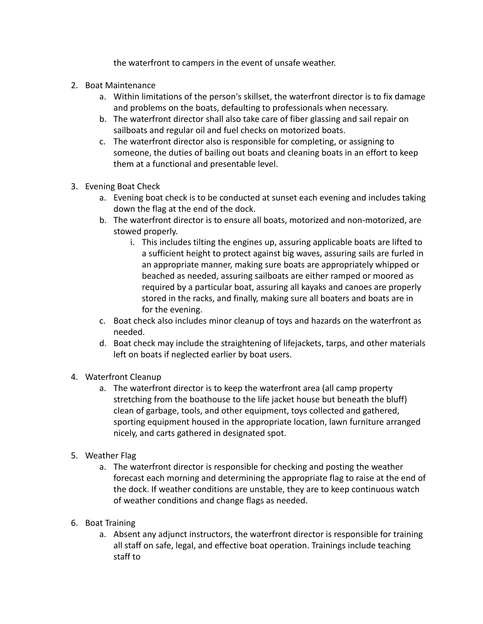the waterfront to campers in the event of unsafe weather.

- 2. Boat Maintenance
	- a. Within limitations of the person's skillset, the waterfront director is to fix damage and problems on the boats, defaulting to professionals when necessary.
	- b. The waterfront director shall also take care of fiber glassing and sail repair on sailboats and regular oil and fuel checks on motorized boats.
	- c. The waterfront director also is responsible for completing, or assigning to someone, the duties of bailing out boats and cleaning boats in an effort to keep them at a functional and presentable level.
- 3. Evening Boat Check
	- a. Evening boat check is to be conducted at sunset each evening and includes taking down the flag at the end of the dock.
	- b. The waterfront director is to ensure all boats, motorized and non-motorized, are stowed properly.
		- i. This includes tilting the engines up, assuring applicable boats are lifted to a sufficient height to protect against big waves, assuring sails are furled in an appropriate manner, making sure boats are appropriately whipped or beached as needed, assuring sailboats are either ramped or moored as required by a particular boat, assuring all kayaks and canoes are properly stored in the racks, and finally, making sure all boaters and boats are in for the evening.
	- c. Boat check also includes minor cleanup of toys and hazards on the waterfront as needed.
	- d. Boat check may include the straightening of lifejackets, tarps, and other materials left on boats if neglected earlier by boat users.
- 4. Waterfront Cleanup
	- a. The waterfront director is to keep the waterfront area (all camp property stretching from the boathouse to the life jacket house but beneath the bluff) clean of garbage, tools, and other equipment, toys collected and gathered, sporting equipment housed in the appropriate location, lawn furniture arranged nicely, and carts gathered in designated spot.
- 5. Weather Flag
	- a. The waterfront director is responsible for checking and posting the weather forecast each morning and determining the appropriate flag to raise at the end of the dock. If weather conditions are unstable, they are to keep continuous watch of weather conditions and change flags as needed.
- 6. Boat Training
	- a. Absent any adjunct instructors, the waterfront director is responsible for training all staff on safe, legal, and effective boat operation. Trainings include teaching staff to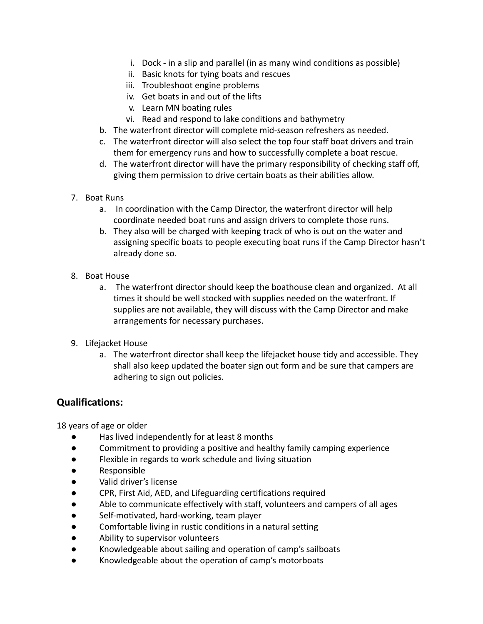- i. Dock in a slip and parallel (in as many wind conditions as possible)
- ii. Basic knots for tying boats and rescues
- iii. Troubleshoot engine problems
- iv. Get boats in and out of the lifts
- v. Learn MN boating rules
- vi. Read and respond to lake conditions and bathymetry
- b. The waterfront director will complete mid-season refreshers as needed.
- c. The waterfront director will also select the top four staff boat drivers and train them for emergency runs and how to successfully complete a boat rescue.
- d. The waterfront director will have the primary responsibility of checking staff off, giving them permission to drive certain boats as their abilities allow.
- 7. Boat Runs
	- a. In coordination with the Camp Director, the waterfront director will help coordinate needed boat runs and assign drivers to complete those runs.
	- b. They also will be charged with keeping track of who is out on the water and assigning specific boats to people executing boat runs if the Camp Director hasn't already done so.
- 8. Boat House
	- a. The waterfront director should keep the boathouse clean and organized. At all times it should be well stocked with supplies needed on the waterfront. If supplies are not available, they will discuss with the Camp Director and make arrangements for necessary purchases.
- 9. Lifejacket House
	- a. The waterfront director shall keep the lifejacket house tidy and accessible. They shall also keep updated the boater sign out form and be sure that campers are adhering to sign out policies.

## **Qualifications:**

18 years of age or older

- Has lived independently for at least 8 months
- Commitment to providing a positive and healthy family camping experience
- Flexible in regards to work schedule and living situation
- Responsible
- Valid driver's license
- CPR, First Aid, AED, and Lifeguarding certifications required
- Able to communicate effectively with staff, volunteers and campers of all ages
- Self-motivated, hard-working, team player
- Comfortable living in rustic conditions in a natural setting
- Ability to supervisor volunteers
- Knowledgeable about sailing and operation of camp's sailboats
- Knowledgeable about the operation of camp's motorboats